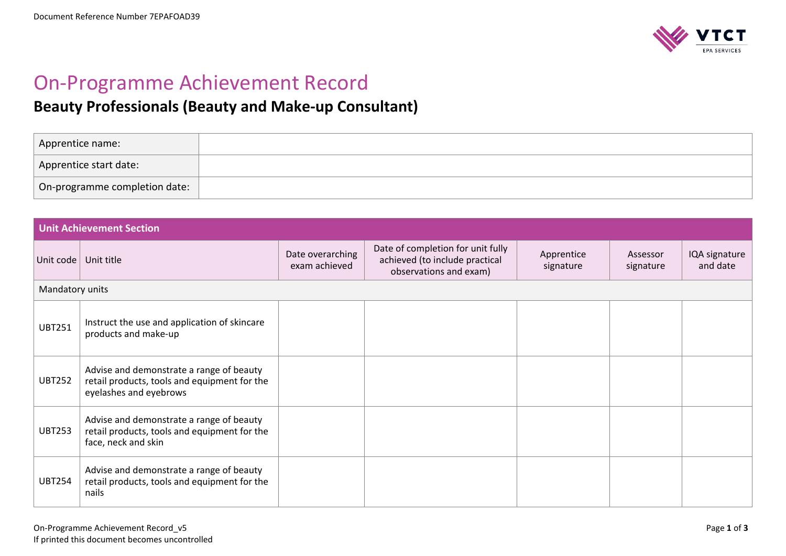

## On-Programme Achievement Record

## **Beauty Professionals (Beauty and Make-up Consultant)**

| Apprentice name:              |  |
|-------------------------------|--|
| Apprentice start date:        |  |
| On-programme completion date: |  |

| <b>Unit Achievement Section</b> |                                                                                                                    |                                   |                                                                                               |                         |                       |                           |
|---------------------------------|--------------------------------------------------------------------------------------------------------------------|-----------------------------------|-----------------------------------------------------------------------------------------------|-------------------------|-----------------------|---------------------------|
| Unit code                       | Unit title                                                                                                         | Date overarching<br>exam achieved | Date of completion for unit fully<br>achieved (to include practical<br>observations and exam) | Apprentice<br>signature | Assessor<br>signature | IQA signature<br>and date |
| Mandatory units                 |                                                                                                                    |                                   |                                                                                               |                         |                       |                           |
| <b>UBT251</b>                   | Instruct the use and application of skincare<br>products and make-up                                               |                                   |                                                                                               |                         |                       |                           |
| <b>UBT252</b>                   | Advise and demonstrate a range of beauty<br>retail products, tools and equipment for the<br>eyelashes and eyebrows |                                   |                                                                                               |                         |                       |                           |
| <b>UBT253</b>                   | Advise and demonstrate a range of beauty<br>retail products, tools and equipment for the<br>face, neck and skin    |                                   |                                                                                               |                         |                       |                           |
| <b>UBT254</b>                   | Advise and demonstrate a range of beauty<br>retail products, tools and equipment for the<br>nails                  |                                   |                                                                                               |                         |                       |                           |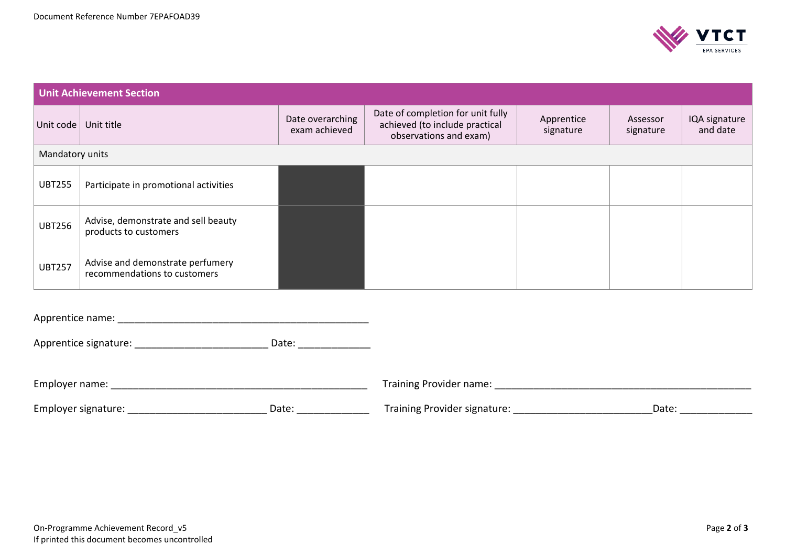

| <b>Unit Achievement Section</b> |                                                                  |                                   |                                                                                               |                         |                       |                           |
|---------------------------------|------------------------------------------------------------------|-----------------------------------|-----------------------------------------------------------------------------------------------|-------------------------|-----------------------|---------------------------|
| Unit code                       | Unit title                                                       | Date overarching<br>exam achieved | Date of completion for unit fully<br>achieved (to include practical<br>observations and exam) | Apprentice<br>signature | Assessor<br>signature | IQA signature<br>and date |
| Mandatory units                 |                                                                  |                                   |                                                                                               |                         |                       |                           |
| <b>UBT255</b>                   | Participate in promotional activities                            |                                   |                                                                                               |                         |                       |                           |
| <b>UBT256</b>                   | Advise, demonstrate and sell beauty<br>products to customers     |                                   |                                                                                               |                         |                       |                           |
| <b>UBT257</b>                   | Advise and demonstrate perfumery<br>recommendations to customers |                                   |                                                                                               |                         |                       |                           |

Apprentice name: \_\_\_\_\_\_\_\_\_\_\_\_\_\_\_\_\_\_\_\_\_\_\_\_\_\_\_\_\_\_\_\_\_\_\_\_\_\_\_\_\_\_\_\_\_

Apprentice signature: \_\_\_\_\_\_\_\_\_\_\_\_\_\_\_\_\_\_\_\_\_\_\_\_\_\_\_\_\_\_\_\_ Date: \_\_\_\_\_\_\_\_\_\_\_\_\_\_\_\_\_\_\_

| Employer name:                |       | Training Provider name:      |      |  |
|-------------------------------|-------|------------------------------|------|--|
| $\sim$<br>Employer signature: | Date: | Training Provider signature: | Date |  |